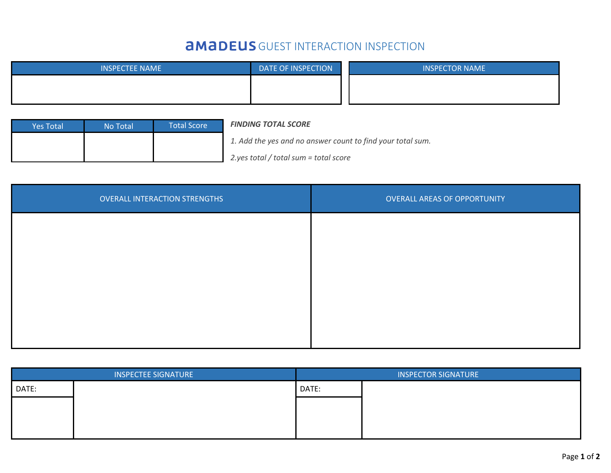## **AMADEUS** GUEST INTERACTION INSPECTION

| <b>INSPECTEE NAME</b> | DATE OF INSPECTION | <b>INSPECTOR NAME</b> |
|-----------------------|--------------------|-----------------------|
|                       |                    |                       |
|                       |                    |                       |

| <b>Yes Total</b> | No Total | <b>Total Score</b> | <b>FINDING TOTAL SCORE</b>                                 |
|------------------|----------|--------------------|------------------------------------------------------------|
|                  |          |                    | 1. Add the yes and no answer count to find your total sum. |
|                  |          |                    | 2.yes total / total sum = total score                      |

| OVERALL INTERACTION STRENGTHS | OVERALL AREAS OF OPPORTUNITY |
|-------------------------------|------------------------------|
|                               |                              |
|                               |                              |
|                               |                              |
|                               |                              |
|                               |                              |

| <b>INSPECTEE SIGNATURE</b> |  | <b>INSPECTOR SIGNATURE</b> |  |
|----------------------------|--|----------------------------|--|
| DATE:                      |  | DATE:                      |  |
|                            |  |                            |  |
|                            |  |                            |  |
|                            |  |                            |  |